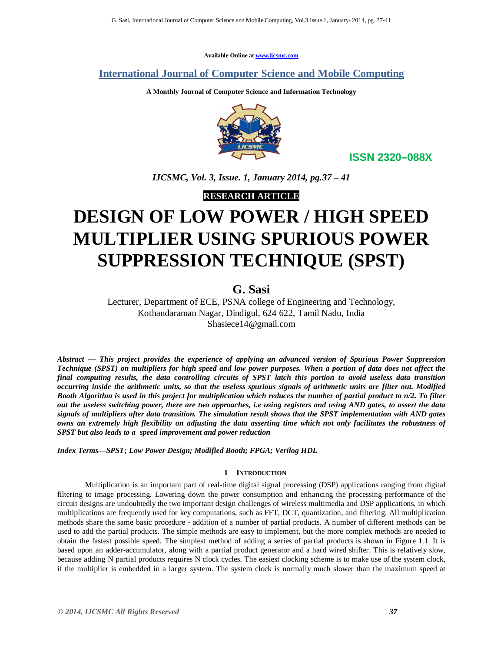**Available Online at www.ijcsmc.com**

**International Journal of Computer Science and Mobile Computing**

**A Monthly Journal of Computer Science and Information Technology**



**ISSN 2320–088X**

*IJCSMC, Vol. 3, Issue. 1, January 2014, pg.37 – 41*

**RESEARCH ARTICLE**

# **DESIGN OF LOW POWER / HIGH SPEED MULTIPLIER USING SPURIOUS POWER SUPPRESSION TECHNIQUE (SPST)**

# **G. Sasi**

Lecturer, Department of ECE, PSNA college of Engineering and Technology, Kothandaraman Nagar, Dindigul, 624 622, Tamil Nadu, India Shasiece14@gmail.com

*Abstract — This project provides the experience of applying an advanced version of Spurious Power Suppression Technique (SPST) on multipliers for high speed and low power purposes. When a portion of data does not affect the final computing results, the data controlling circuits of SPST latch this portion to avoid useless data transition occurring inside the arithmetic units, so that the useless spurious signals of arithmetic units are filter out. Modified Booth Algorithm is used in this project for multiplication which reduces the number of partial product to n/2. To filter out the useless switching power, there are two approaches, i.e using registers and using AND gates, to assert the data signals of multipliers after data transition. The simulation result shows that the SPST implementation with AND gates owns an extremely high flexibility on adjusting the data asserting time which not only facilitates the robustness of SPST but also leads to a speed improvement and power reduction*

*Index Terms—SPST; Low Power Design; Modified Booth; FPGA; Verilog HDL*

## **I INTRODUCTION**

Multiplication is an important part of real-time digital signal processing (DSP) applications ranging from digital filtering to image processing. Lowering down the power consumption and enhancing the processing performance of the circuit designs are undoubtedly the two important design challenges of wireless multimedia and DSP applications, in which multiplications are frequently used for key computations, such as FFT, DCT, quantization, and filtering. All multiplication methods share the same basic procedure - addition of a number of partial products. A number of different methods can be used to add the partial products. The simple methods are easy to implement, but the more complex methods are needed to obtain the fastest possible speed. The simplest method of adding a series of partial products is shown in Figure 1.1. It is based upon an adder-accumulator, along with a partial product generator and a hard wired shifter. This is relatively slow, because adding N partial products requires N clock cycles. The easiest clocking scheme is to make use of the system clock, if the multiplier is embedded in a larger system. The system clock is normally much slower than the maximum speed at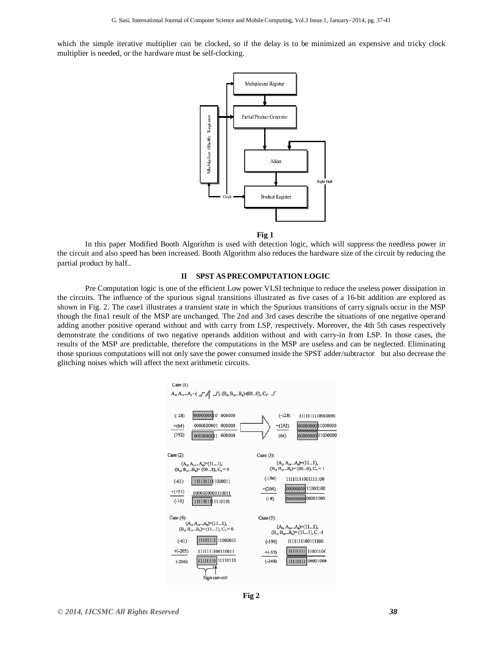which the simple iterative multiplier can be clocked, so if the delay is to be minimized an expensive and tricky clock multiplier is needed, or the hardware must be self-clocking.



**Fig 1**

In this paper Modified Booth Algorithm is used with detection logic, which will suppress the needless power in the circuit and also speed has been increased. Booth Algorithm also reduces the hardware size of the circuit by reducing the partial product by half..

#### **II SPST AS PRECOMPUTATION LOGIC**

Pre Computation logic is one of the efficient Low power VLSI technique to reduce the useless power dissipation in the circuits. The influence of the spurious signal transitions illustrated as five cases of a 16-bit addition are explored as shown in Fig. 2. The case1 illustrates a transient state in which the Spurious transitions of carry signals occur in the MSP though the fina1 result of the MSP are unchanged. The 2nd and 3rd cases describe the situations of one negative operand adding another positive operand without and with carry from LSP, respectively. Moreover, the 4th 5th cases respectively demonstrate the conditions of two negative operands addition without and with carry-in from LSP. In those cases, the results of the MSP are predictable, therefore the computations in the MSP are useless and can be neglected. Eliminating those spurious computations will not only save the power consumed inside the SPST adder/subtractor but also decrease the glitching noises which will affect the next arithmetic circuits.



**Fig 2**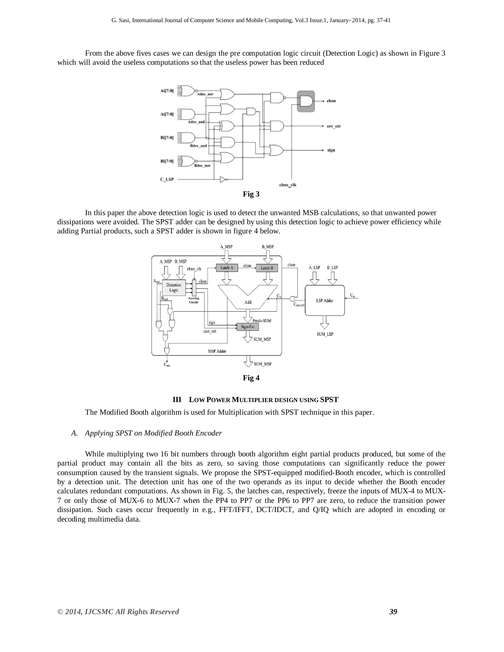From the above fives cases we can design the pre computation logic circuit (Detection Logic) as shown in Figure 3 which will avoid the useless computations so that the useless power has been reduced



In this paper the above detection logic is used to detect the unwanted MSB calculations, so that unwanted power dissipations were avoided. The SPST adder can be designed by using this detection logic to achieve power efficiency while adding Partial products, such a SPST adder is shown in figure 4 below.





The Modified Booth algorithm is used for Multiplication with SPST technique in this paper.

#### *A. Applying SPST on Modified Booth Encoder*

While multiplying two 16 bit numbers through booth algorithm eight partial products produced, but some of the partial product may contain all the bits as zero, so saving those computations can significantly reduce the power consumption caused by the transient signals. We propose the SPST-equipped modified-Booth encoder, which is controlled by a detection unit. The detection unit has one of the two operands as its input to decide whether the Booth encoder calculates redundant computations. As shown in Fig. 5, the latches can, respectively, freeze the inputs of MUX-4 to MUX-7 or only those of MUX-6 to MUX-7 when the PP4 to PP7 or the PP6 to PP7 are zero, to reduce the transition power dissipation. Such cases occur frequently in e.g., FFT/IFFT, DCT/IDCT, and Q/IQ which are adopted in encoding or decoding multimedia data.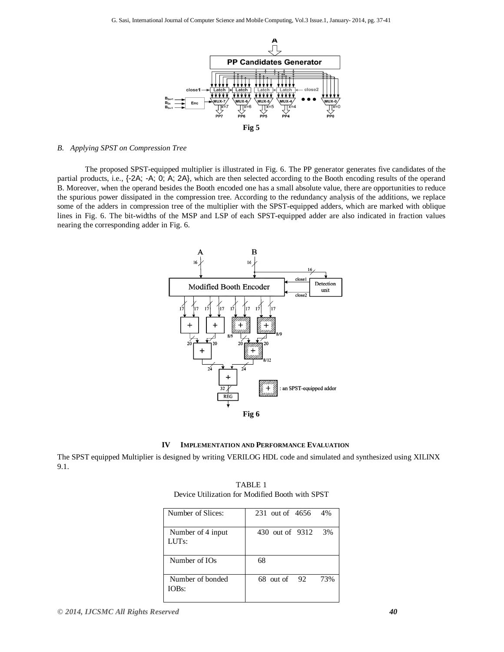

#### *B. Applying SPST on Compression Tree*

The proposed SPST-equipped multiplier is illustrated in Fig. 6. The PP generator generates five candidates of the partial products, i.e., {-2A; -A; 0; A; 2A}, which are then selected according to the Booth encoding results of the operand B. Moreover, when the operand besides the Booth encoded one has a small absolute value, there are opportunities to reduce the spurious power dissipated in the compression tree. According to the redundancy analysis of the additions, we replace some of the adders in compression tree of the multiplier with the SPST-equipped adders, which are marked with oblique lines in Fig. 6. The bit-widths of the MSP and LSP of each SPST-equipped adder are also indicated in fraction values nearing the corresponding adder in Fig. 6.





The SPST equipped Multiplier is designed by writing VERILOG HDL code and simulated and synthesized using XILINX 9.1.

| TZCYRCC WEITZGEIVIL IVI. IVIMAILICO TAMALI WIEL DI OL |                        |
|-------------------------------------------------------|------------------------|
| Number of Slices:                                     | 231 out of 4656<br>4%  |
| Number of 4 input<br>LUT <sub>s:</sub>                | 430 out of 9312<br>3%  |
| Number of IOs                                         | 68                     |
| Number of bonded<br>IOBs:                             | 68 out of<br>73%<br>92 |

TABLE 1 Device Utilization for Modified Booth with SPST